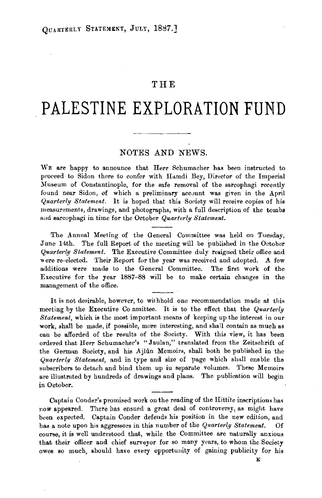## **THE**

## **PALESTINE EXPLORATION FUND**

## NOTES AND NEWS.

WE are happy to announce that Herr Schumacher has been instructed to proceed to Sidon there to confer with Hamdi Bey, Director of the Imperial Museum of Constantinople, for the safe removal of the sarcophagi recently found near Sidon, of which a preliminary account was given in the April *Quarterly Statement.* It is hoped that this Society will receive copies of his measurements, drawings, and photographs, with a full description of the tombs aud sarcophagi in time for the October *Quarterly Statement.* 

The Annual Meeting of the General Committee was held on Tuesday, June 14th. The full Report of the meeting will be published in the October *Quarterly Statement.* The Executive Committee duly resigned their office and were re-elected. Their Report for the year was received and adopted. A few additions were made to the General Committee. The first work of the Executive for the year 1887-88 will be to make certain changes in the management of the office.

It is not desirable, however, to withhold one recommendation made at this meeting by the Executive Co.nmittee. It is to the effect that the *Quarterly Statement,* which is the most important means of keeping up the interest in our work, shall be made, if possible, more interesting, and shall contain as much as can be afforded of the results of the Society. With this view, it has been ordered that Herr Schumacher's "Jaulan," translated from the Zeitschrift of the Germnn Society, and his Ajhln Memoirs, shall both be published in the *Quarterly Statement*, and in type and size of page which shall enable the subscribers to detach and bind them up iu separate volumes. These Memoirs are illustrated by hundreds of drawings and plans. The publication will begin in October.

Captain Couder's promised work on the reading of the Hittite inscriptions has now appeared. There has ensued a great deal of controversy, as might have been expected. Captain Conder defends his position in the new edition, and has a note upon his aggressors in this number of the *Quarterly Statement.* Of course, it is well understood that, while the Committee are naturally anxious that their officer and chief surveyor for so many years, to whom the Society owes 80 much, should have every opportuuity of gaining publicity for his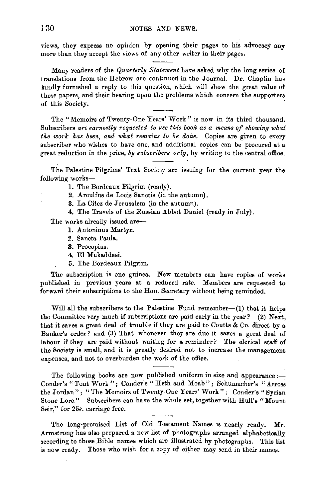views, they express no opinion by opening their pages to his advocacy any more than they accept the views of any other writer in their pages.

Many readers of the *Quarterly Statement* have asked why the long series of translations from the Hebrew are continued in the Journal. Dr. Chaplin has kindly furnished a reply to this question, which will show the great value of these papers, and their bearing upon the problems which concern the supporters of this Society.

The "Memoirs of Twenty-One Years' Work" is now in its third thousand. Subscribers *are earnestly requested to use this book as a means of showing what the work has been, and what remains to be done.* Copies are given to every subscriber who wishes to have one, and additional copies can be procured at a great reduction in the price, by subscribers only, by writing to the central office.

The Palestine Pilgrims' Text Society are issuing for the current year the following works-

1. The Bordeaux Pilgrim (ready).

2. Arculfus de Locis Sanctis (in the autumn).

3. La Citez de Jerusalem (in the autumn).

4. The Travels of the Russian Abbot Daniel (ready in July).

The works already issued are-

- 1. Antoninus Martyr.
- 2. Sancta Paula.
- 3. Procopius.
- 4. El Mukaddasi.
- 5. The Bordeaux Pilgrim.

The subscription is one guinea. New members can have copies of works published in previous years at a reduced rate. Members are requested to forwArd their subscriptions to the Hon. Secretary without being reminded.

Will all the subscribers to the Palestine Fund remember-(1) that it helps the Committee very much if subscriptions are paid early in the year? (2) Next, that it saves a great, deal of trouble if they are paid to Coutts & Co. direct by a Banker's order? and (3) That whenever they are due it saves a great deal of labour if they are paid without waiting for a reminder? The clerical staff of the Society is small, and it is greatly desired not to increase the management expenses, and not to overburden the work of the office.

The following books are now published uniform in size and appearance :-Oonder's "Tent Work"; Oondcr's "Heth and Moab"; Schumacher's "Across the Jordan"; "The Memoirs of Twenty-One Years' Work"; Conder's "Syrian Stone Lore." Subscribers can have the whole set, together with Hull's "Mount Seir," for 25s. carriage free.

The long-promised List of Old Testament Names is nearly ready. Mr. Armstrong has also prepared a new list of photographs arranged alphabetically according to those Bible names which are illustrated by photographs. This list is now ready. Those who wish for a copy of either may send in their names.